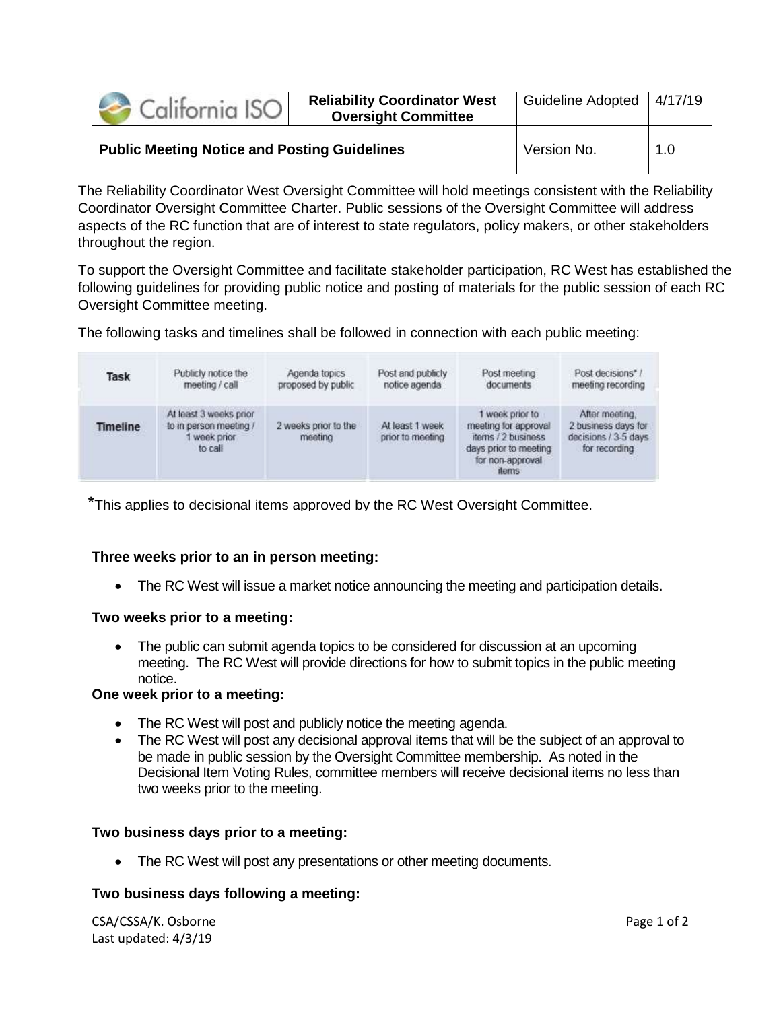| California ISO                                      | <b>Reliability Coordinator West</b><br><b>Oversight Committee</b> | Guideline Adopted   4/17/19 |     |
|-----------------------------------------------------|-------------------------------------------------------------------|-----------------------------|-----|
| <b>Public Meeting Notice and Posting Guidelines</b> |                                                                   | Version No.                 | 1.0 |

The Reliability Coordinator West Oversight Committee will hold meetings consistent with the Reliability Coordinator Oversight Committee Charter. Public sessions of the Oversight Committee will address aspects of the RC function that are of interest to state regulators, policy makers, or other stakeholders throughout the region.

To support the Oversight Committee and facilitate stakeholder participation, RC West has established the following guidelines for providing public notice and posting of materials for the public session of each RC Oversight Committee meeting.

The following tasks and timelines shall be followed in connection with each public meeting:

| Task     | Publicly notice the                                                       | Agenda topics                   | Post and publicly                   | Post meeting                                                                                                             | Post decisions*                                                                |
|----------|---------------------------------------------------------------------------|---------------------------------|-------------------------------------|--------------------------------------------------------------------------------------------------------------------------|--------------------------------------------------------------------------------|
|          | meeting / call                                                            | proposed by public              | notice agenda                       | documents                                                                                                                | meeting recording                                                              |
| Timeline | At least 3 weeks prior<br>to in person meeting /<br>week prior<br>to call | 2 weeks prior to the<br>meeting | At least 1 week<br>prior to meeting | week prior to<br>meeting for approval<br>items / 2 business<br>days prior to meeting<br>for non-approval<br><b>items</b> | After meeting.<br>2 business days for<br>decisions / 3-5 days<br>for recording |

\*This applies to decisional items approved by the RC West Oversight Committee.

# **Three weeks prior to an in person meeting:**

The RC West will issue a market notice announcing the meeting and participation details.

### **Two weeks prior to a meeting:**

 The public can submit agenda topics to be considered for discussion at an upcoming meeting. The RC West will provide directions for how to submit topics in the public meeting notice.

### **One week prior to a meeting:**

- The RC West will post and publicly notice the meeting agenda.
- The RC West will post any decisional approval items that will be the subject of an approval to be made in public session by the Oversight Committee membership. As noted in the Decisional Item Voting Rules, committee members will receive decisional items no less than two weeks prior to the meeting.

### **Two business days prior to a meeting:**

• The RC West will post any presentations or other meeting documents.

### **Two business days following a meeting:**

CSA/CSSA/K. Osborne Page 1 of 2 Last updated: 4/3/19